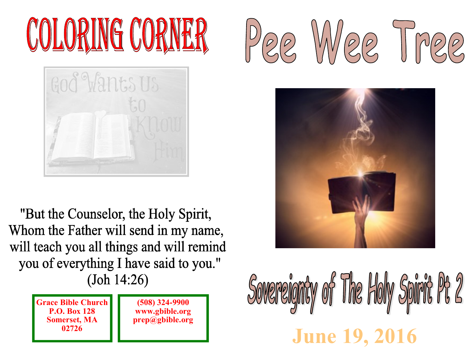# COLORING CORNER



"But the Counselor, the Holy Spirit, Whom the Father will send in my name, will teach you all things and will remind you of everything I have said to you."  $(John 14:26)$ 

> **Grace Bible ChurchP.O. Box 128 Somerset, MA 02726**

**(508) 324-9900 www.gbible.orgprep@gbible.org**





## Sovereignty of The Holy Spirit Pt 2 **June 19, 2016**